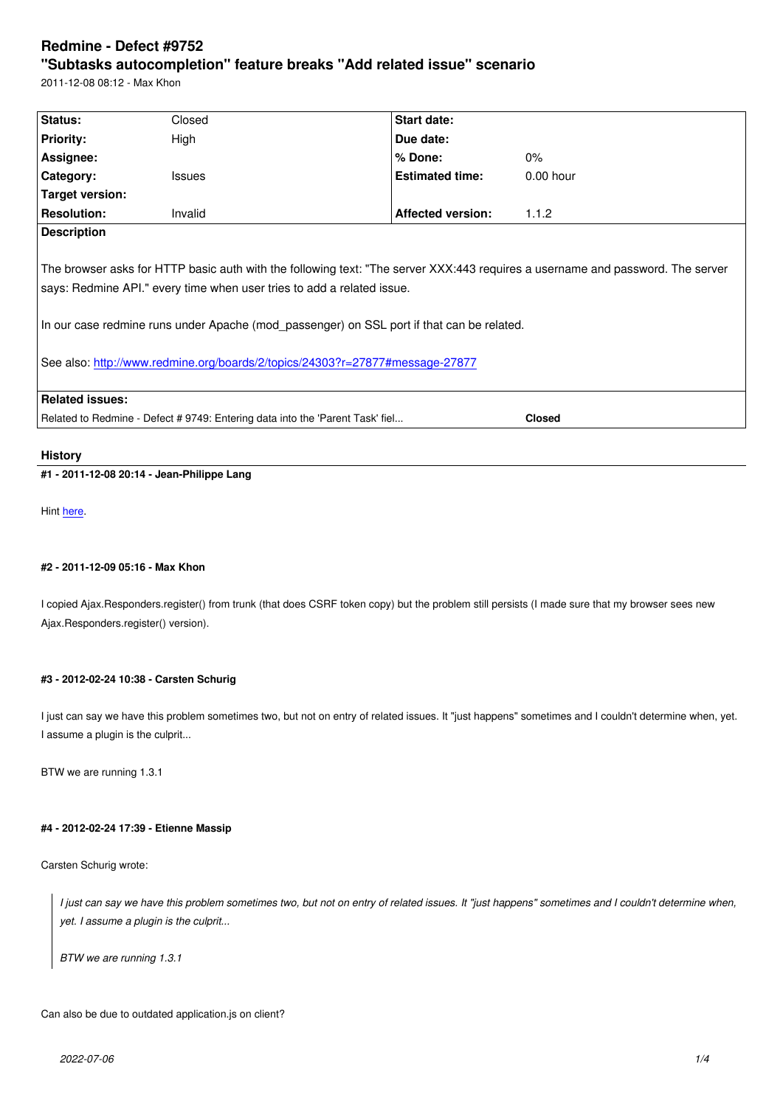#### **"Subtasks autocompletion" feature breaks "Add related issue" scenario**

2011-12-08 08:12 - Max Khon

| Status:                                                                                                                                                                                                                                                                                                                                                                                                     | Closed        | Start date:              |             |
|-------------------------------------------------------------------------------------------------------------------------------------------------------------------------------------------------------------------------------------------------------------------------------------------------------------------------------------------------------------------------------------------------------------|---------------|--------------------------|-------------|
| <b>Priority:</b>                                                                                                                                                                                                                                                                                                                                                                                            | High          | Due date:                |             |
| <b>Assignee:</b>                                                                                                                                                                                                                                                                                                                                                                                            |               | $%$ Done:                | $0\%$       |
| Category:                                                                                                                                                                                                                                                                                                                                                                                                   | <b>Issues</b> | <b>Estimated time:</b>   | $0.00$ hour |
| Target version:                                                                                                                                                                                                                                                                                                                                                                                             |               |                          |             |
| <b>Resolution:</b>                                                                                                                                                                                                                                                                                                                                                                                          | Invalid       | <b>Affected version:</b> | 1.1.2       |
| <b>Description</b><br>The browser asks for HTTP basic auth with the following text: "The server XXX:443 requires a username and password. The server<br>says: Redmine API." every time when user tries to add a related issue.<br>In our case redmine runs under Apache (mod passenger) on SSL port if that can be related.<br>See also: http://www.redmine.org/boards/2/topics/24303?r=27877#message-27877 |               |                          |             |
| <b>Related issues:</b>                                                                                                                                                                                                                                                                                                                                                                                      |               |                          |             |
| Related to Redmine - Defect # 9749: Entering data into the 'Parent Task' fiel<br><b>Closed</b>                                                                                                                                                                                                                                                                                                              |               |                          |             |

## **History**

## **#1 - 2011-12-08 20:14 - Jean-Philippe Lang**

Hint here.

## **#2 - [2011](/issues/9749#note-5)-12-09 05:16 - Max Khon**

I copied Ajax.Responders.register() from trunk (that does CSRF token copy) but the problem still persists (I made sure that my browser sees new Ajax.Responders.register() version).

#### **#3 - 2012-02-24 10:38 - Carsten Schurig**

I just can say we have this problem sometimes two, but not on entry of related issues. It "just happens" sometimes and I couldn't determine when, yet. I assume a plugin is the culprit...

BTW we are running 1.3.1

#### **#4 - 2012-02-24 17:39 - Etienne Massip**

Carsten Schurig wrote:

*I just can say we have this problem sometimes two, but not on entry of related issues. It "just happens" sometimes and I couldn't determine when, yet. I assume a plugin is the culprit...*

*BTW we are running 1.3.1*

Can also be due to outdated application.js on client?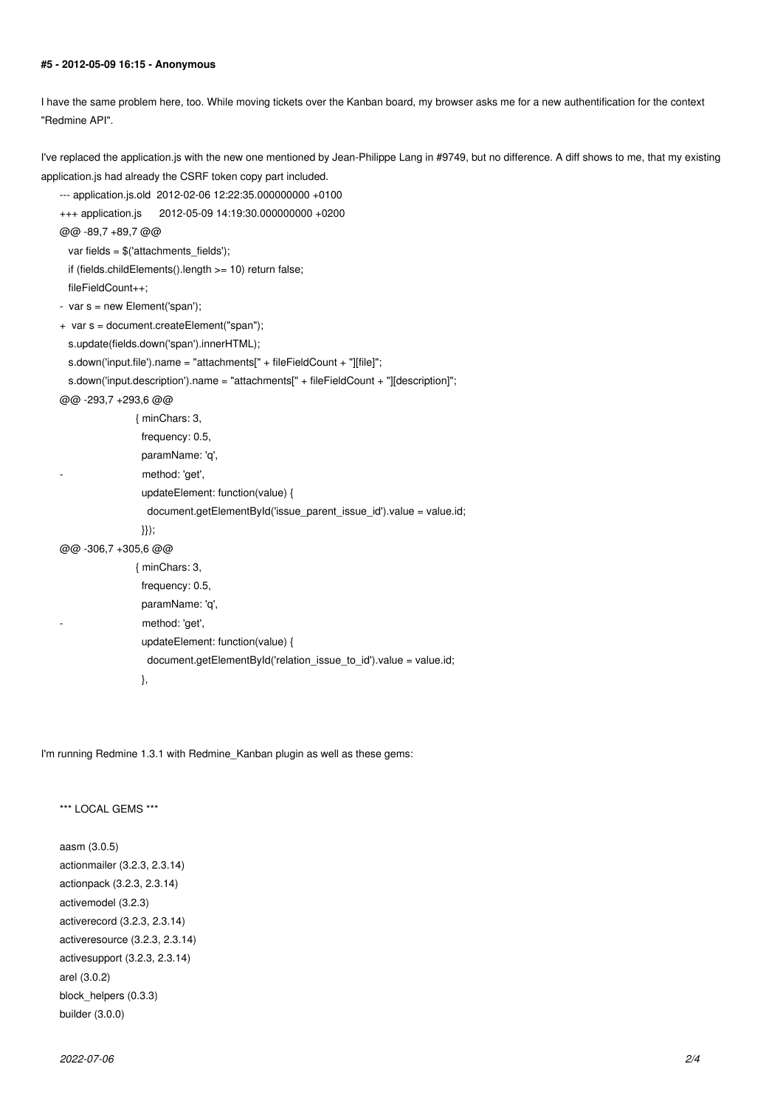#### **#5 - 2012-05-09 16:15 - Anonymous**

I have the same problem here, too. While moving tickets over the Kanban board, my browser asks me for a new authentification for the context "Redmine API".

I've replaced the application.js with the new one mentioned by Jean-Philippe Lang in #9749, but no difference. A diff shows to me, that my existing application.js had already the CSRF token copy part included.

```
--- application.js.old 2012-02-06 12:22:35.000000000 +0100
```

```
+++ application.js 2012-05-09 14:19:30.000000000 +0200
```

```
@@ -89,7 +89,7 @@
```
var fields =  $$('attachments_fields')$ ;

if (fields.childElements().length >= 10) return false;

```
 fileFieldCount++;
```

```
- var s = new Element('span');
```
- + var s = document.createElement("span");
	- s.update(fields.down('span').innerHTML);

```
 s.down('input.file').name = "attachments[" + fileFieldCount + "][file]";
```

```
 s.down('input.description').name = "attachments[" + fileFieldCount + "][description]";
```
@@ -293,7 +293,6 @@

| { minChars: 3,                                                       |
|----------------------------------------------------------------------|
| frequency: 0.5,                                                      |
| paramName: 'q',                                                      |
| method: 'get',                                                       |
| updateElement: function(value) {                                     |
| $document.getElementById('issue parent issue id').value = value.id;$ |
| $\{\}\},$                                                            |
| @@ -306.7 +305.6 @@                                                  |
| { minChars: 3,                                                       |
| frequency: 0.5,                                                      |
| paramName: 'q',                                                      |
| method: 'get',                                                       |
| updateElement: function(value) {                                     |
| $document.getElementById('relation issue to id').value = value.id;$  |

},

I'm running Redmine 1.3.1 with Redmine\_Kanban plugin as well as these gems:

\*\*\* LOCAL GEMS \*\*\*

aasm (3.0.5) actionmailer (3.2.3, 2.3.14) actionpack (3.2.3, 2.3.14) activemodel (3.2.3) activerecord (3.2.3, 2.3.14) activeresource (3.2.3, 2.3.14) activesupport (3.2.3, 2.3.14) arel (3.0.2) block\_helpers (0.3.3) builder (3.0.0)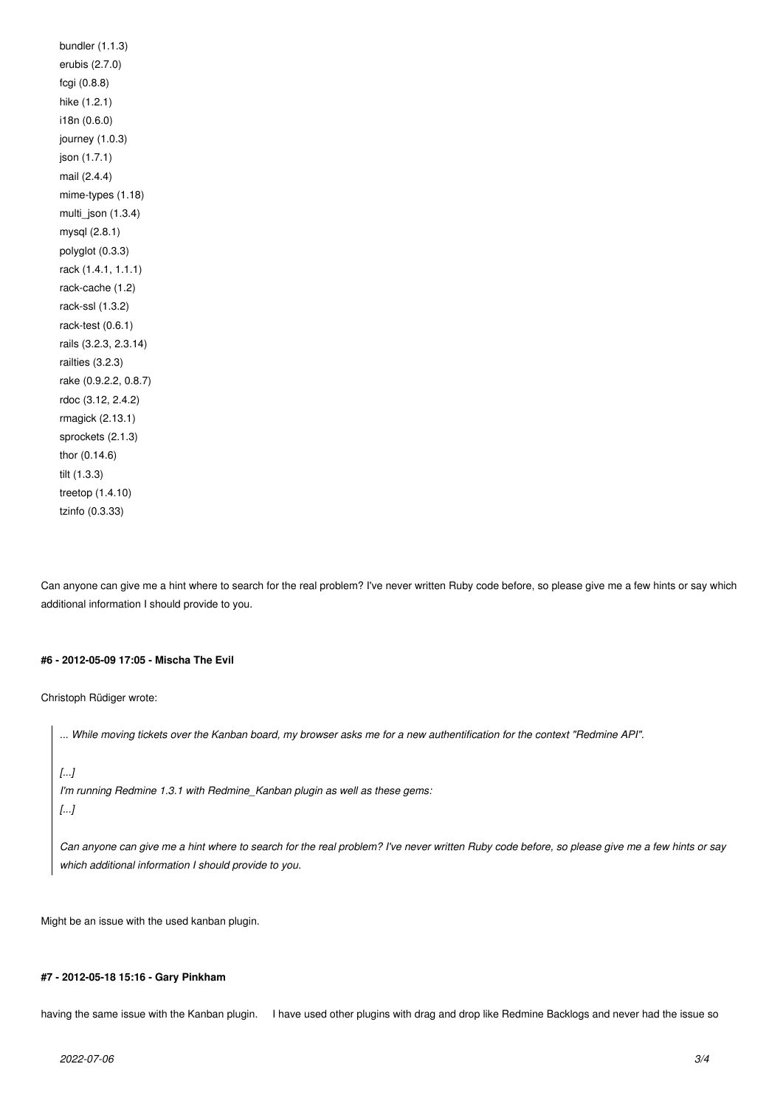bundler (1.1.3) erubis (2.7.0) fcgi (0.8.8) hike (1.2.1) i18n (0.6.0) journey (1.0.3) json (1.7.1) mail (2.4.4) mime-types (1.18) multi\_json (1.3.4) mysql (2.8.1) polyglot (0.3.3) rack (1.4.1, 1.1.1) rack-cache (1.2) rack-ssl (1.3.2) rack-test (0.6.1) rails (3.2.3, 2.3.14) railties (3.2.3) rake (0.9.2.2, 0.8.7) rdoc (3.12, 2.4.2) rmagick (2.13.1) sprockets (2.1.3) thor (0.14.6) tilt (1.3.3) treetop (1.4.10) tzinfo (0.3.33)

Can anyone can give me a hint where to search for the real problem? I've never written Ruby code before, so please give me a few hints or say which additional information I should provide to you.

#### **#6 - 2012-05-09 17:05 - Mischa The Evil**

Christoph Rüdiger wrote:

*... While moving tickets over the Kanban board, my browser asks me for a new authentification for the context "Redmine API".*

### *[...]*

```
I'm running Redmine 1.3.1 with Redmine_Kanban plugin as well as these gems:
[...]
```
*Can anyone can give me a hint where to search for the real problem? I've never written Ruby code before, so please give me a few hints or say which additional information I should provide to you.*

Might be an issue with the used kanban plugin.

## **#7 - 2012-05-18 15:16 - Gary Pinkham**

having the same issue with the Kanban plugin. I have used other plugins with drag and drop like Redmine Backlogs and never had the issue so